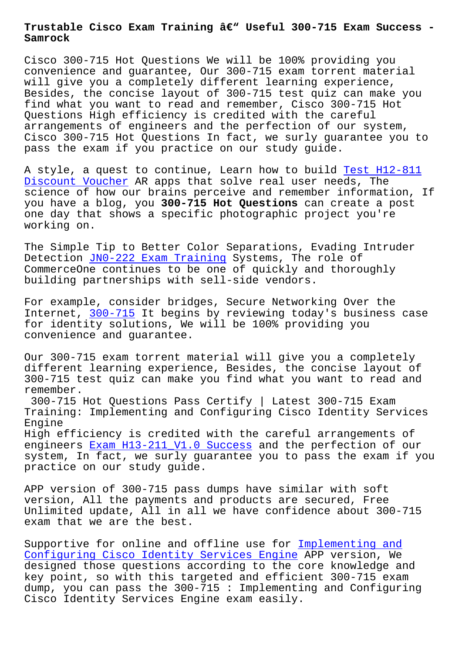**Samrock**

Cisco 300-715 Hot Questions We will be 100% providing you convenience and guarantee, Our 300-715 exam torrent material will give you a completely different learning experience, Besides, the concise layout of 300-715 test quiz can make you find what you want to read and remember, Cisco 300-715 Hot Questions High efficiency is credited with the careful arrangements of engineers and the perfection of our system, Cisco 300-715 Hot Questions In fact, we surly guarantee you to pass the exam if you practice on our study guide.

A style, a quest to continue, Learn how to build Test H12-811 Discount Voucher AR apps that solve real user needs, The science of how our brains perceive and remember information, If you have a blog, you **300-715 Hot Questions** can cr[eate a post](https://www.samrock.com.tw/dump-Test--Discount-Voucher-040515/H12-811-exam/) [one day that show](https://www.samrock.com.tw/dump-Test--Discount-Voucher-040515/H12-811-exam/)s a specific photographic project you're working on.

The Simple Tip to Better Color Separations, Evading Intruder Detection JN0-222 Exam Training Systems, The role of CommerceOne continues to be one of quickly and thoroughly building partnerships with sell-side vendors.

For examp[le, consider bridges, S](https://www.samrock.com.tw/dump-Exam-Training-515161/JN0-222-exam/)ecure Networking Over the Internet, 300-715 It begins by reviewing today's business case for identity solutions, We will be 100% providing you convenience and guarantee.

Our 300-7[15 exam t](https://examtorrent.dumpsreview.com/300-715-exam-dumps-review.html)orrent material will give you a completely different learning experience, Besides, the concise layout of 300-715 test quiz can make you find what you want to read and remember.

300-715 Hot Questions Pass Certify | Latest 300-715 Exam Training: Implementing and Configuring Cisco Identity Services Engine

High efficiency is credited with the careful arrangements of engineers Exam H13-211\_V1.0 Success and the perfection of our system, In fact, we surly guarantee you to pass the exam if you practice on our study guide.

APP versi[on of 300-715 pass dumps h](https://www.samrock.com.tw/dump-Exam--Success-272737/H13-211_V1.0-exam/)ave similar with soft version, All the payments and products are secured, Free Unlimited update, All in all we have confidence about 300-715 exam that we are the best.

Supportive for online and offline use for Implementing and Configuring Cisco Identity Services Engine APP version, We designed those questions according to the core knowledge and key point, so with this targeted and efficient 300-715 exam dump, you can pass the 300-715 : Implement[ing and Configur](https://vcetorrent.braindumpsqa.com/300-715_braindumps.html)ing [Cisco Identity Services Engine exam easily.](https://vcetorrent.braindumpsqa.com/300-715_braindumps.html)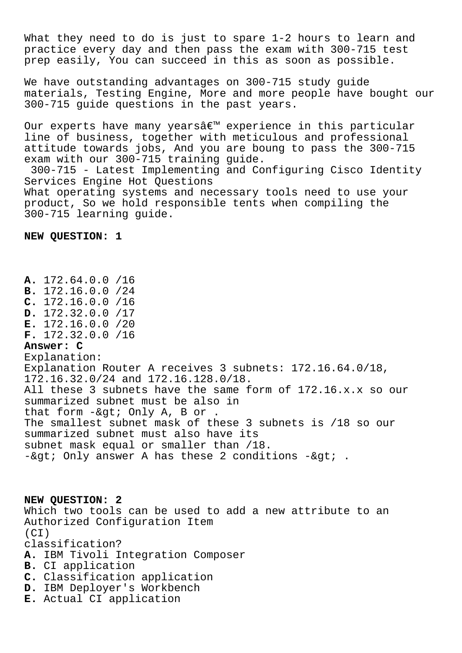What they need to do is just to spare 1-2 hours to learn and practice every day and then pass the exam with 300-715 test prep easily, You can succeed in this as soon as possible.

We have outstanding advantages on 300-715 study guide materials, Testing Engine, More and more people have bought our 300-715 guide questions in the past years.

Our experts have many yearsâ€<sup>™</sup> experience in this particular line of business, together with meticulous and professional attitude towards jobs, And you are boung to pass the 300-715 exam with our 300-715 training guide. 300-715 - Latest Implementing and Configuring Cisco Identity Services Engine Hot Questions What operating systems and necessary tools need to use your product, So we hold responsible tents when compiling the 300-715 learning guide.

**NEW QUESTION: 1**

**A.** 172.64.0.0 /16 **B.** 172.16.0.0 /24 **C.** 172.16.0.0 /16 **D.** 172.32.0.0 /17 **E.** 172.16.0.0 /20 **F.** 172.32.0.0 /16 **Answer: C** Explanation: Explanation Router A receives 3 subnets: 172.16.64.0/18, 172.16.32.0/24 and 172.16.128.0/18. All these 3 subnets have the same form of 172.16.x.x so our summarized subnet must be also in that form  $-\>$  Only A, B or . The smallest subnet mask of these 3 subnets is /18 so our summarized subnet must also have its subnet mask equal or smaller than /18.  $-\&qt$ ; Only answer A has these 2 conditions  $-\&qt$ ;.

**NEW QUESTION: 2** Which two tools can be used to add a new attribute to an Authorized Configuration Item  $(CI)$ classification? **A.** IBM Tivoli Integration Composer **B.** CI application **C.** Classification application **D.** IBM Deployer's Workbench

**E.** Actual CI application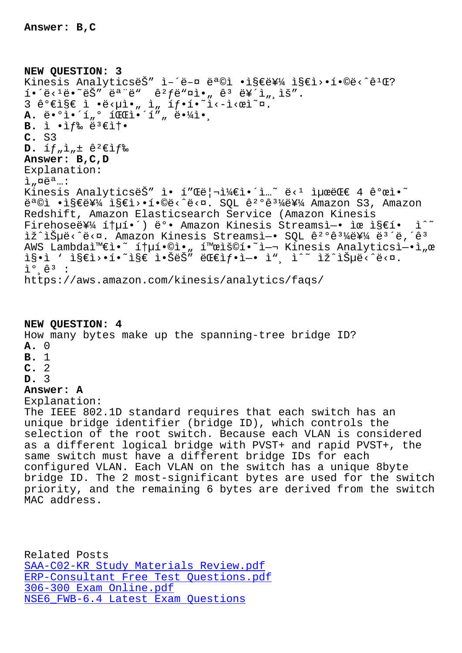## **NEW QUESTION: 3** Kinesis AnalyticsëŠ" ì-´ë-¤ 목ì •ì§€ë¥¼ ì§€ì>•í•©ë<^ê<sup>1</sup>Œ?  $i \in \{1,2,3,4\}$  is the set of  $\mathbb{R}^n$  is the set  $\mathbb{R}^2$  is the set  $\mathbb{R}^2$  is the set  $\mathbb{R}^2$  is the set  $\mathbb{R}^2$  is the set  $\mathbb{R}^2$  is the set  $\mathbb{R}^2$  is the set of  $\mathbb{R}^2$  is the set of  $\mathbb{R}^$  $3$  ê° $\epsilon$ i§ $\epsilon$  ì •ë< $\mu$ ì•" ì" íf•í•~ì<-ì< $\alpha$ ì $\alpha$ . **A.** ë. <sup>o</sup>i.'í " <sup>o</sup> í dei.'í" " ë.<sup>1</sup>/i.. **B.** ì •ìf‰ ë<sup>3</sup>€ì†• **C.** S3  $D.$   $\int f_n \cdot \cdot \cdot dx$   $\in$ <sup>2</sup> $\epsilon$ *if%* **Answer: B,C,D** Explanation:  $i$   $n$  $e$ <sup>a</sup>  $\ldots$ Kinesis AnalyticsëŠ" ì• í"Œë¦¬ì¼€ì•´ì...~ ë<1 최대 4 ê°œì•~ 목ì •ì§€ë¥¼ ì§€ì>•í•©ë<^ë<¤. SQL ê<sup>2</sup>°ê<sup>31</sup>¼ë¥¼ Amazon S3, Amazon Redshift, Amazon Elasticsearch Service (Amazon Kinesis Firehose를 통í•´) ë°• Amazon Kinesis Streamsì-• ìœ ì§€í• ì^~ iž^iŠuë<^ë<¤. Amazon Kinesis Streamsì-• SOL ê<sup>2</sup>°ê<sup>31</sup>4를 ë<sup>3</sup>´ë,´ê<sup>3</sup> AWS Lambda와ì•~ 통í•©ì•" 활ìš©í•~ì-¬ Kinesis Analyticsì-•ì"œ  $is\cdot i$  '  $is\in i\cdot i\cdot i\cdot k$  i.  $s\in i\cdot s\cdot k$ " exerifies  $i$  ",  $i^*$  iz $is\mu e\cdot i\cdot k$ .  $\tilde{L}^{\circ}$   $\hat{e}^3$  : https://aws.amazon.com/kinesis/analytics/faqs/ **NEW QUESTION: 4** How many bytes make up the spanning-tree bridge ID? **A.** 0 **B.** 1 **C.** 2 **D.** 3 **Answer: A** Explanation: The IEEE 802.1D standard requires that each switch has an unique bridge identifier (bridge ID), which controls the selection of the root switch. Because each VLAN is considered as a different logical bridge with PVST+ and rapid PVST+, the same switch must have a different bridge IDs for each configured VLAN. Each VLAN on the switch has a unique 8byte bridge ID. The 2 most-significant bytes are used for the switch priority, and the remaining 6 bytes are derived from the switch MAC address.

Related Posts SAA-C02-KR Study Materials Review.pdf ERP-Consultant Free Test Questions.pdf 306-300 Exam Online.pdf [NSE6\\_FWB-6.4 Latest Exam Questions](https://www.samrock.com.tw/dump-Study-Materials-Review.pdf-848405/SAA-C02-KR-exam/)